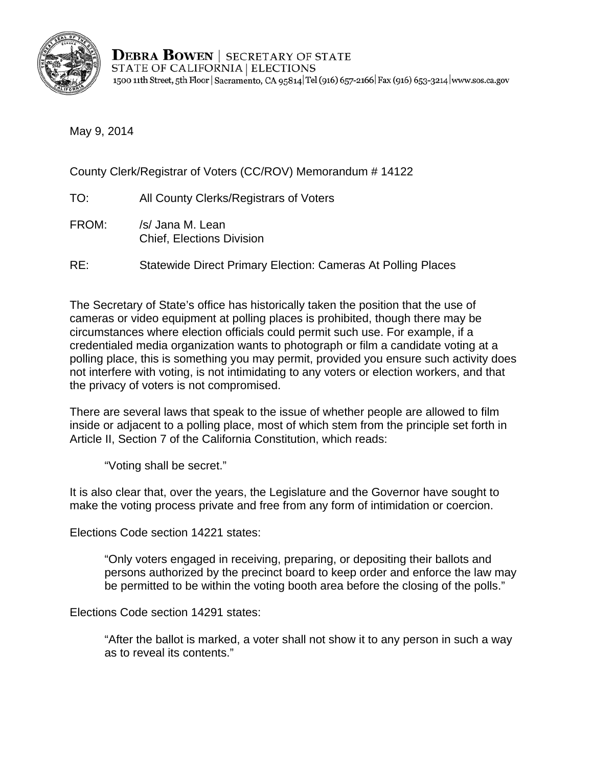

**DEBRA BOWEN** SECRETARY OF STATE STATE OF CALIFORNIA | ELECTIONS 1500 11th Street, 5th Floor | Sacramento, CA 95814 Tel (916) 657-2166 | Fax (916) 653-3214 | www.sos.ca.gov

May 9, 2014

County Clerk/Registrar of Voters (CC/ROV) Memorandum # 14122

- TO: All County Clerks/Registrars of Voters
- FROM: /s/ Jana M. Lean Chief, Elections Division
- RE: Statewide Direct Primary Election: Cameras At Polling Places

The Secretary of State's office has historically taken the position that the use of cameras or video equipment at polling places is prohibited, though there may be circumstances where election officials could permit such use. For example, if a credentialed media organization wants to photograph or film a candidate voting at a polling place, this is something you may permit, provided you ensure such activity does not interfere with voting, is not intimidating to any voters or election workers, and that the privacy of voters is not compromised.

There are several laws that speak to the issue of whether people are allowed to film inside or adjacent to a polling place, most of which stem from the principle set forth in Article II, Section 7 of the California Constitution, which reads:

"Voting shall be secret."

It is also clear that, over the years, the Legislature and the Governor have sought to make the voting process private and free from any form of intimidation or coercion.

Elections Code section 14221 states:

"Only voters engaged in receiving, preparing, or depositing their ballots and persons authorized by the precinct board to keep order and enforce the law may be permitted to be within the voting booth area before the closing of the polls."

Elections Code section 14291 states:

"After the ballot is marked, a voter shall not show it to any person in such a way as to reveal its contents."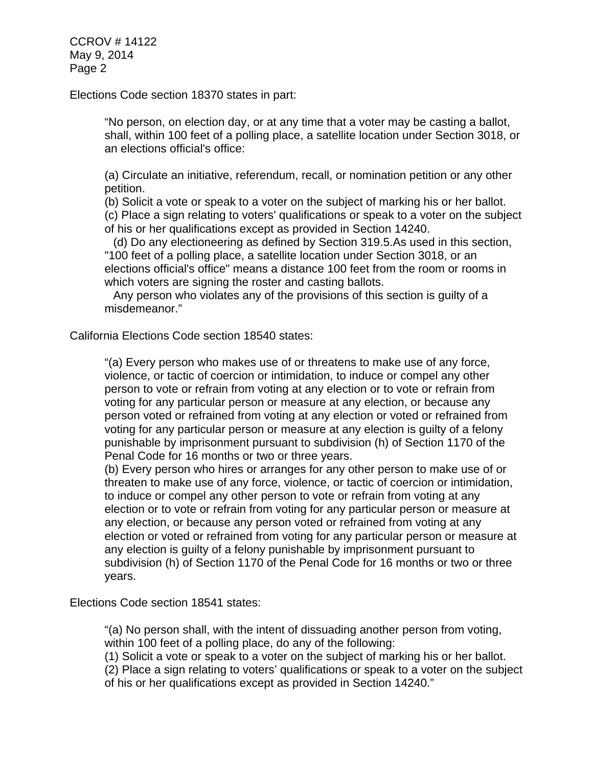CCROV # 14122 May 9, 2014 Page 2

Elections Code section 18370 states in part:

"No person, on election day, or at any time that a voter may be casting a ballot, shall, within 100 feet of a polling place, a satellite location under Section 3018, or an elections official's office:

(a) Circulate an initiative, referendum, recall, or nomination petition or any other petition.

(b) Solicit a vote or speak to a voter on the subject of marking his or her ballot. (c) Place a sign relating to voters' qualifications or speak to a voter on the subject of his or her qualifications except as provided in Section 14240.

(d) Do any electioneering as defined by Section 319.5.As used in this section, "100 feet of a polling place, a satellite location under Section 3018, or an elections official's office" means a distance 100 feet from the room or rooms in which voters are signing the roster and casting ballots.

Any person who violates any of the provisions of this section is guilty of a misdemeanor."

California Elections Code section 18540 states:

"(a) Every person who makes use of or threatens to make use of any force, violence, or tactic of coercion or intimidation, to induce or compel any other person to vote or refrain from voting at any election or to vote or refrain from voting for any particular person or measure at any election, or because any person voted or refrained from voting at any election or voted or refrained from voting for any particular person or measure at any election is guilty of a felony punishable by imprisonment pursuant to subdivision (h) of Section 1170 of the Penal Code for 16 months or two or three years.

(b) Every person who hires or arranges for any other person to make use of or threaten to make use of any force, violence, or tactic of coercion or intimidation, to induce or compel any other person to vote or refrain from voting at any election or to vote or refrain from voting for any particular person or measure at any election, or because any person voted or refrained from voting at any election or voted or refrained from voting for any particular person or measure at any election is guilty of a felony punishable by imprisonment pursuant to subdivision (h) of Section 1170 of the Penal Code for 16 months or two or three years.

Elections Code section 18541 states:

"(a) No person shall, with the intent of dissuading another person from voting, within 100 feet of a polling place, do any of the following:

(1) Solicit a vote or speak to a voter on the subject of marking his or her ballot.

(2) Place a sign relating to voters' qualifications or speak to a voter on the subject of his or her qualifications except as provided in Section 14240."